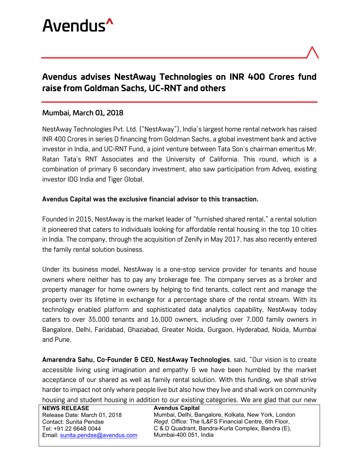

# Avendus advises NestAway Technologies on INR 400 Crores fund raise from Goldman Sachs, UC-RNT and others

## Mumbai, March 01, 2018

NestAway Technologies Pvt. Ltd. ("NestAway"), India's largest home rental network has raised INR 400 Crores in series D financing from Goldman Sachs, a global investment bank and active investor in India, and UC-RNT Fund, a joint venture between Tata Son's chairman emeritus Mr. Ratan Tata's RNT Associates and the University of California. This round, which is a combination of primary & secondary investment, also saw participation from Adveq, existing investor IDG India and Tiger Global.

## **Avendus Capital was the exclusive financial advisor to this transaction.**

Founded in 2015, NestAway is the market leader of "furnished shared rental," a rental solution it pioneered that caters to individuals looking for affordable rental housing in the top 10 cities in India. The company, through the acquisition of Zenify in May 2017, has also recently entered the family rental solution business.

Under its business model, NestAway is a one-stop service provider for tenants and house owners where neither has to pay any brokerage fee. The company serves as a broker and property manager for home owners by helping to find tenants, collect rent and manage the property over its lifetime in exchange for a percentage share of the rental stream. With its technology enabled platform and sophisticated data analytics capability, NestAway today caters to over 35,000 tenants and 16,000 owners, including over 7,000 family owners in Bangalore, Delhi, Faridabad, Ghaziabad, Greater Noida, Gurgaon, Hyderabad, Noida, Mumbai and Pune.

**Amarendra Sahu, Co-Founder & CEO, NestAway Technologies**, said, "Our vision is to create accessible living using imagination and empathy & we have been humbled by the market acceptance of our shared as well as family rental solution. With this funding, we shall strive harder to impact not only where people live but also how they live and shall work on community

housing and student housing in addition to our existing categories. We are glad that our new

| <b>NEWS RELEASE</b>              | <b>Avendus Capital</b>                               |
|----------------------------------|------------------------------------------------------|
| Release Date: March 01, 2018     | Mumbai, Delhi, Bangalore, Kolkata, New York, London  |
| Contact: Sunita Pendse           | Regd. Office: The IL&FS Financial Centre, 6th Floor, |
| Tel: +91 22 6648 0044            | C & D Quadrant, Bandra-Kurla Complex, Bandra (E),    |
| Email: sunita.pendse@avendus.com | Mumbai-400 051. India                                |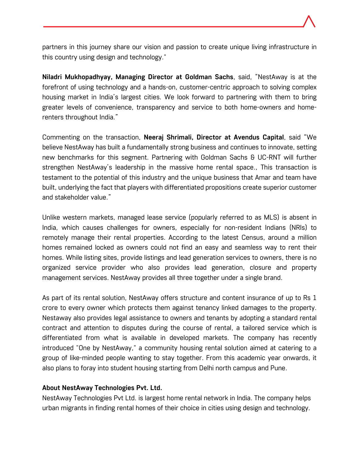partners in this journey share our vision and passion to create unique living infrastructure in this country using design and technology."

**Niladri Mukhopadhyay, Managing Director at Goldman Sachs**, said, "NestAway is at the forefront of using technology and a hands-on, customer-centric approach to solving complex housing market in India's largest cities. We look forward to partnering with them to bring greater levels of convenience, transparency and service to both home-owners and homerenters throughout India."

Commenting on the transaction, **Neeraj Shrimali, Director at Avendus Capital**, said "We believe NestAway has built a fundamentally strong business and continues to innovate, setting new benchmarks for this segment. Partnering with Goldman Sachs & UC-RNT will further strengthen NestAway's leadership in the massive home rental space., This transaction is testament to the potential of this industry and the unique business that Amar and team have built, underlying the fact that players with differentiated propositions create superior customer and stakeholder value."

Unlike western markets, managed lease service (popularly referred to as MLS) is absent in India, which causes challenges for owners, especially for non-resident Indians (NRIs) to remotely manage their rental properties. According to the latest Census, around a million homes remained locked as owners could not find an easy and seamless way to rent their homes. While listing sites, provide listings and lead generation services to owners, there is no organized service provider who also provides lead generation, closure and property management services. NestAway provides all three together under a single brand.

As part of its rental solution, NestAway offers structure and content insurance of up to Rs 1 crore to every owner which protects them against tenancy linked damages to the property. Nestaway also provides legal assistance to owners and tenants by adopting a standard rental contract and attention to disputes during the course of rental, a tailored service which is differentiated from what is available in developed markets. The company has recently introduced "One by NestAway," a community housing rental solution aimed at catering to a group of like-minded people wanting to stay together. From this academic year onwards, it also plans to foray into student housing starting from Delhi north campus and Pune.

## **About NestAway Technologies Pvt. Ltd.**

NestAway Technologies Pvt Ltd. is largest home rental network in India. The company helps urban migrants in finding rental homes of their choice in cities using design and technology.